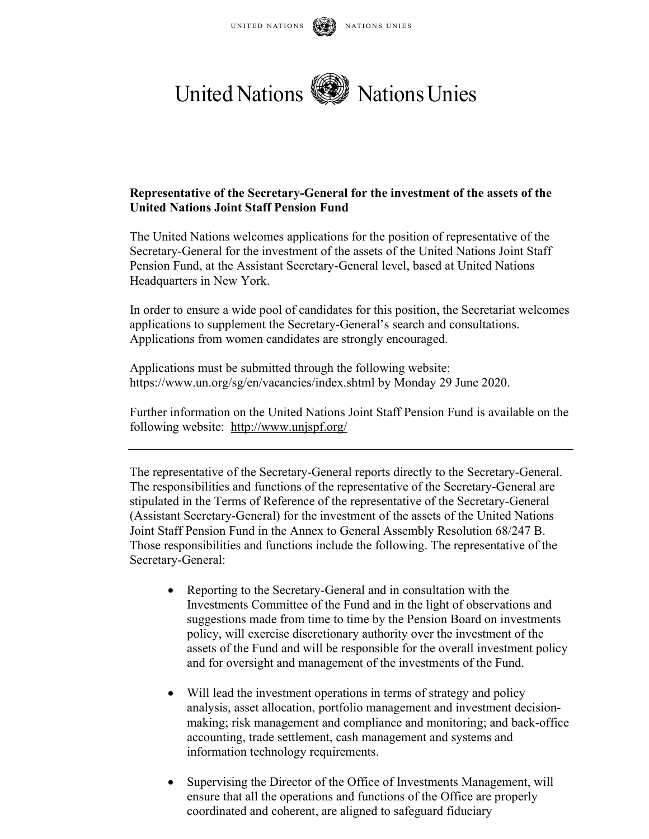



## Representative of the Secretary-General for the investment of the assets of the United Nations Joint Staff Pension Fund

The United Nations welcomes applications for the position of representative of the Secretary-General for the investment of the assets of the United Nations Joint Staff Pension Fund, at the Assistant Secretary-General level, based at United Nations Headquarters in New York.

In order to ensure a wide pool of candidates for this position, the Secretariat welcomes applications to supplement the Secretary-General's search and consultations. Applications from women candidates are strongly encouraged.

Applications must be submitted through the following website: https://www.un.org/sg/en/vacancies/index.shtml by Monday 29 June 2020.

Further information on the United Nations Joint Staff Pension Fund is available on the following website: http://www.unjspf.org/

The representative of the Secretary-General reports directly to the Secretary-General. The responsibilities and functions of the representative of the Secretary-General are stipulated in the Terms of Reference of the representative of the Secretary-General (Assistant Secretary-General) for the investment of the assets of the United Nations Joint Staff Pension Fund in the Annex to General Assembly Resolution 68/247 B. Those responsibilities and functions include the following. The representative of the Secretary-General:

- Reporting to the Secretary-General and in consultation with the Investments Committee of the Fund and in the light of observations and suggestions made from time to time by the Pension Board on investments policy, will exercise discretionary authority over the investment of the assets of the Fund and will be responsible for the overall investment policy and for oversight and management of the investments of the Fund.
- Will lead the investment operations in terms of strategy and policy analysis, asset allocation, portfolio management and investment decisionmaking; risk management and compliance and monitoring; and back-office accounting, trade settlement, cash management and systems and information technology requirements.
- Supervising the Director of the Office of Investments Management, will ensure that all the operations and functions of the Office are properly coordinated and coherent, are aligned to safeguard fiduciary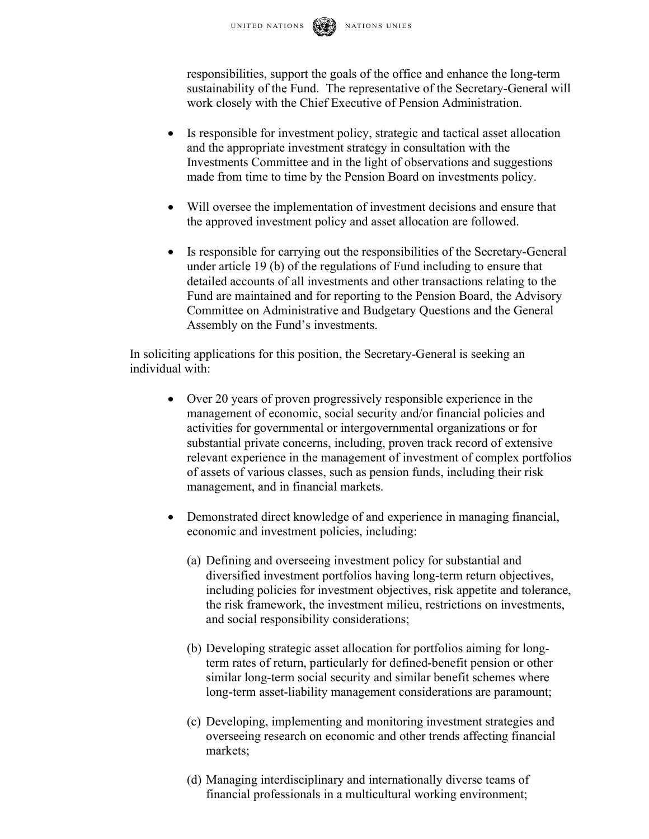UNITED NATIONS (CONTROLL NATIONS UNIES<br>
UNITED NATIONS UNIES<br>
UNITED NATIONS UNIES<br>
UNITED NATIONS UNIES<br>
UNITED NATIONS UNIES<br>
UNITED NATIONS UNIES<br>
UNITED NATIONS UNIES<br>
UNITED NATIONS UNIES responsibilities, support the goals of the office and enhance the long-term sustainability of the Fund. The representative of the Secretary-General will work closely with the Chief Executive of Pension Administration.

- Is responsible for investment policy, strategic and tactical asset allocation and the appropriate investment strategy in consultation with the Investments Committee and in the light of observations and suggestions made from time to time by the Pension Board on investments policy.
- Will oversee the implementation of investment decisions and ensure that the approved investment policy and asset allocation are followed.
- Is responsible for carrying out the responsibilities of the Secretary-General under article 19 (b) of the regulations of Fund including to ensure that detailed accounts of all investments and other transactions relating to the Fund are maintained and for reporting to the Pension Board, the Advisory Committee on Administrative and Budgetary Questions and the General Assembly on the Fund's investments.

In soliciting applications for this position, the Secretary-General is seeking an individual with:

- Over 20 years of proven progressively responsible experience in the management of economic, social security and/or financial policies and activities for governmental or intergovernmental organizations or for substantial private concerns, including, proven track record of extensive relevant experience in the management of investment of complex portfolios of assets of various classes, such as pension funds, including their risk management, and in financial markets.
- Demonstrated direct knowledge of and experience in managing financial, economic and investment policies, including:
	- (a) Defining and overseeing investment policy for substantial and diversified investment portfolios having long-term return objectives, including policies for investment objectives, risk appetite and tolerance, the risk framework, the investment milieu, restrictions on investments, and social responsibility considerations;
	- (b) Developing strategic asset allocation for portfolios aiming for longterm rates of return, particularly for defined-benefit pension or other similar long-term social security and similar benefit schemes where long-term asset-liability management considerations are paramount;
	- (c) Developing, implementing and monitoring investment strategies and overseeing research on economic and other trends affecting financial markets;
	- (d) Managing interdisciplinary and internationally diverse teams of financial professionals in a multicultural working environment;